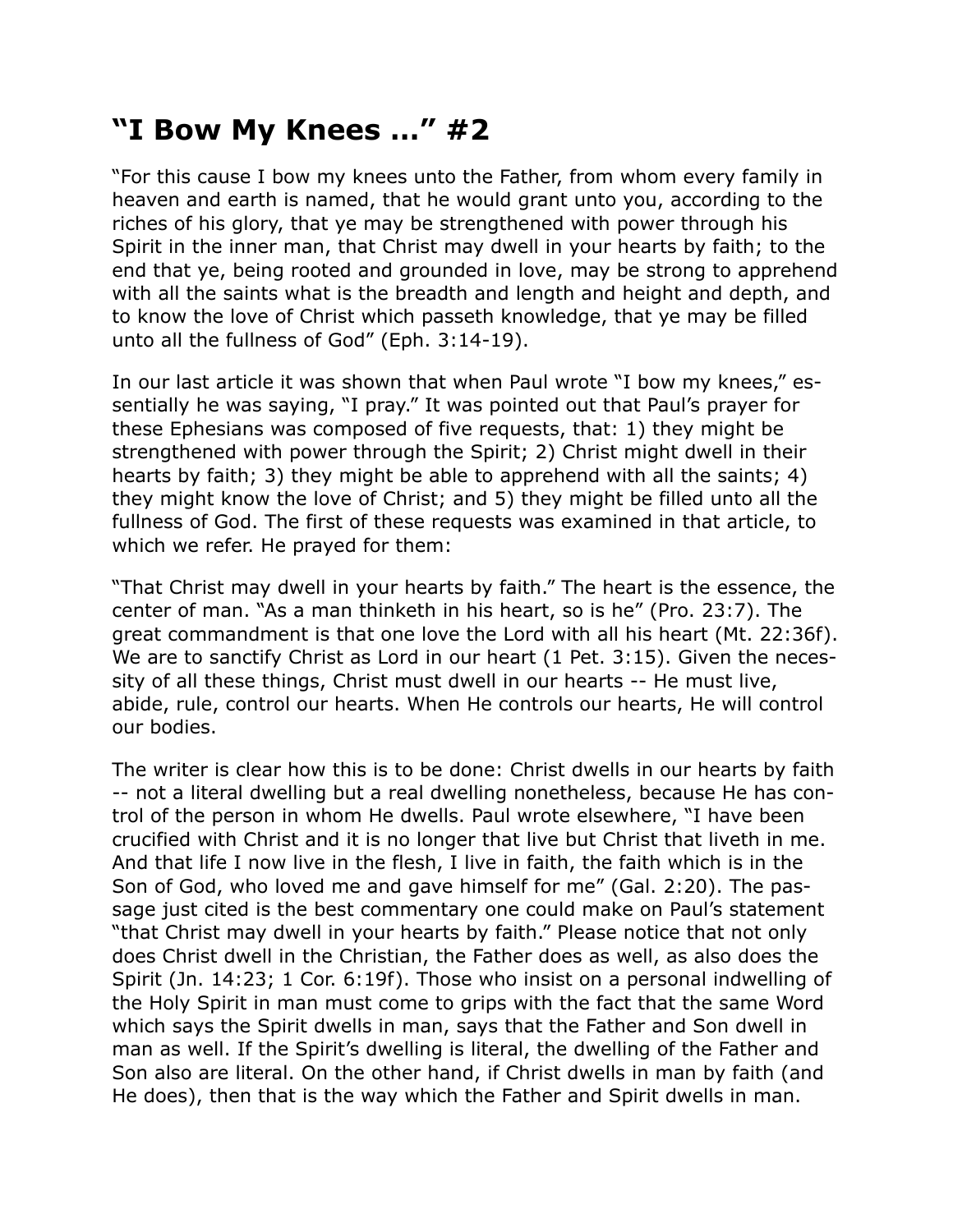## **"I Bow My Knees …" #2**

"For this cause I bow my knees unto the Father, from whom every family in heaven and earth is named, that he would grant unto you, according to the riches of his glory, that ye may be strengthened with power through his Spirit in the inner man, that Christ may dwell in your hearts by faith; to the end that ye, being rooted and grounded in love, may be strong to apprehend with all the saints what is the breadth and length and height and depth, and to know the love of Christ which passeth knowledge, that ye may be filled unto all the fullness of God" (Eph. 3:14-19).

In our last article it was shown that when Paul wrote "I bow my knees," essentially he was saying, "I pray." It was pointed out that Paul's prayer for these Ephesians was composed of five requests, that: 1) they might be strengthened with power through the Spirit; 2) Christ might dwell in their hearts by faith; 3) they might be able to apprehend with all the saints; 4) they might know the love of Christ; and 5) they might be filled unto all the fullness of God. The first of these requests was examined in that article, to which we refer. He prayed for them:

"That Christ may dwell in your hearts by faith." The heart is the essence, the center of man. "As a man thinketh in his heart, so is he" (Pro. 23:7). The great commandment is that one love the Lord with all his heart (Mt. 22:36f). We are to sanctify Christ as Lord in our heart (1 Pet. 3:15). Given the necessity of all these things, Christ must dwell in our hearts -- He must live, abide, rule, control our hearts. When He controls our hearts, He will control our bodies.

The writer is clear how this is to be done: Christ dwells in our hearts by faith -- not a literal dwelling but a real dwelling nonetheless, because He has control of the person in whom He dwells. Paul wrote elsewhere, "I have been crucified with Christ and it is no longer that live but Christ that liveth in me. And that life I now live in the flesh, I live in faith, the faith which is in the Son of God, who loved me and gave himself for me" (Gal. 2:20). The passage just cited is the best commentary one could make on Paul's statement "that Christ may dwell in your hearts by faith." Please notice that not only does Christ dwell in the Christian, the Father does as well, as also does the Spirit (Jn. 14:23; 1 Cor. 6:19f). Those who insist on a personal indwelling of the Holy Spirit in man must come to grips with the fact that the same Word which says the Spirit dwells in man, says that the Father and Son dwell in man as well. If the Spirit's dwelling is literal, the dwelling of the Father and Son also are literal. On the other hand, if Christ dwells in man by faith (and He does), then that is the way which the Father and Spirit dwells in man.